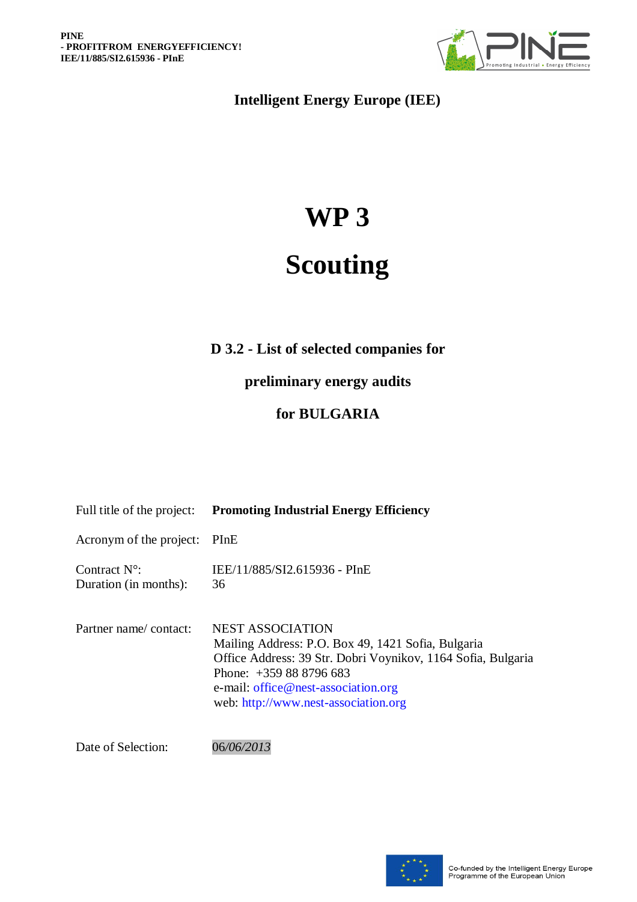

**Intelligent Energy Europe (IEE)**

# **WP 3**

## **Scouting**

## **D 3.2 - List of selected companies for**

**preliminary energy audits**

## **for BULGARIA**

| Full title of the project:                      | <b>Promoting Industrial Energy Efficiency</b>                                                                                                                                                                                                          |
|-------------------------------------------------|--------------------------------------------------------------------------------------------------------------------------------------------------------------------------------------------------------------------------------------------------------|
| Acronym of the project:                         | PInE                                                                                                                                                                                                                                                   |
| Contract $N^{\circ}$ :<br>Duration (in months): | IEE/11/885/SI2.615936 - PInE<br>36                                                                                                                                                                                                                     |
| Partner name/contact:                           | <b>NEST ASSOCIATION</b><br>Mailing Address: P.O. Box 49, 1421 Sofia, Bulgaria<br>Office Address: 39 Str. Dobri Voynikov, 1164 Sofia, Bulgaria<br>Phone: $+359888796683$<br>e-mail: office@nest-association.org<br>web: http://www.nest-association.org |

Date of Selection: 06*/06/2013*

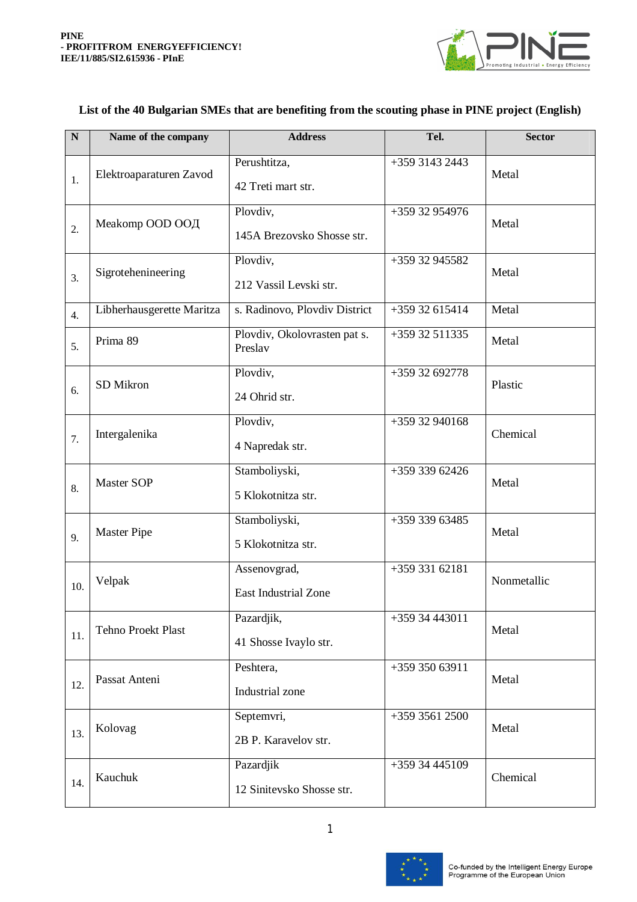

#### **N N Name of the company Address Tel. Tel. Sector** 1. Elektroaparaturen Zavod Perushtitza, 42 Treti mart str. +359 3143 2443 Metal 2. Meakomp OOD ООД Plovdiv, 145A Brezovsko Shosse str. +359 32 954976 Metal 3. Sigrotehenineering Plovdiv, 212 Vassil Levski str. +359 32 945582 Metal  $\frac{4}{4}$  Libherhausgerette Maritza | s. Radinovo, Plovdiv District | +359 32 615414 | Metal  $\begin{array}{c|c|c|c} \hline \text{Prima } 89 & \text{Plovdiv, Okolovrasten pat s.} \ \hline \end{array}$ Preslav +359 32 511335 Metal 6. SD Mikron Plovdiv, 24 Ohrid str. +359 32 692778 Plastic 7. Intergalenika Plovdiv, 4 Napredak str. +359 32 940168 Chemical 8. Master SOP Stamboliyski, 5 Klokotnitza str. +359 339 62426 Metal 9. Master Pipe Stamboliyski, 5 Klokotnitza str. +359 339 63485 Metal  $_{10.}$  Velpak Assenovgrad, East Industrial Zone +359 331 62181 Nonmetallic 11. Tehno Proekt Plast Pazardiik. 41 Shosse Ivaylo str.  $+359$  34 443011 Metal 12. Passat Anteni Peshtera, Industrial zone +359 350 63911 Metal 13. Kolovag Septemvri, 2B P. Karavelov str.  $+359$  3561 2500 Metal  $_{14}$  Kauchuk Pazardjik 12 Sinitevsko Shosse str. +359 34 445109 Chemical

### **List of the 40 Bulgarian SMEs that are benefiting from the scouting phase in PINE project (English)**



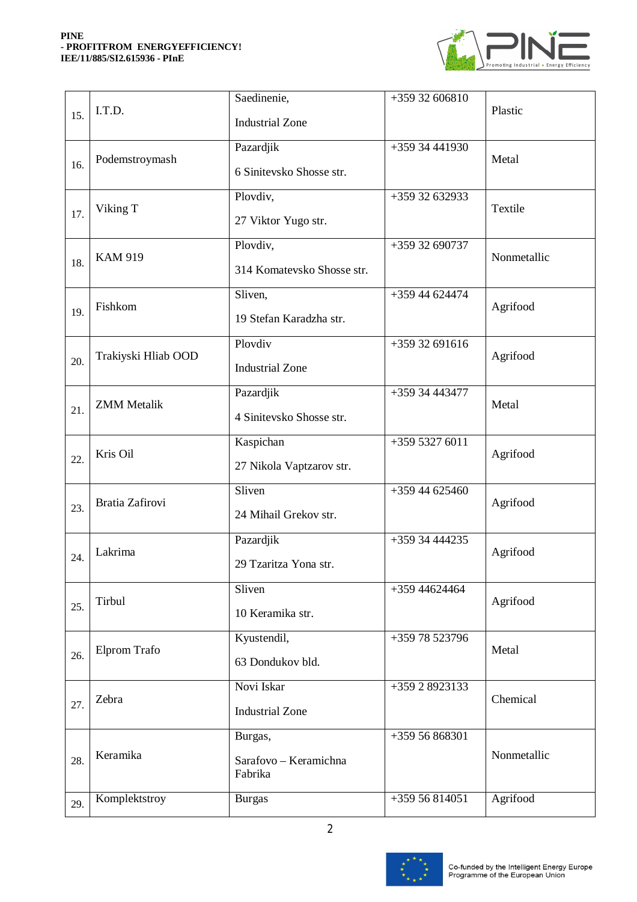#### **PINE - PROFITFROM ENERGYEFFICIENCY! IEE/11/885/SI2.615936 - PInE**



| 15. | I.T.D.              | Saedinenie,<br><b>Industrial Zone</b>       | +359 32 606810 | Plastic     |
|-----|---------------------|---------------------------------------------|----------------|-------------|
| 16. | Podemstroymash      | Pazardjik<br>6 Sinitevsko Shosse str.       | +359 34 441930 | Metal       |
| 17. | Viking T            | Plovdiv,<br>27 Viktor Yugo str.             | +359 32 632933 | Textile     |
| 18. | <b>KAM 919</b>      | Plovdiv,<br>314 Komatevsko Shosse str.      | +359 32 690737 | Nonmetallic |
| 19. | Fishkom             | Sliven,<br>19 Stefan Karadzha str.          | +359 44 624474 | Agrifood    |
| 20. | Trakiyski Hliab OOD | Plovdiv<br><b>Industrial Zone</b>           | +359 32 691616 | Agrifood    |
| 21. | <b>ZMM</b> Metalik  | Pazardjik<br>4 Sinitevsko Shosse str.       | +359 34 443477 | Metal       |
| 22. | Kris Oil            | Kaspichan<br>27 Nikola Vaptzarov str.       | +359 5327 6011 | Agrifood    |
| 23. | Bratia Zafirovi     | Sliven<br>24 Mihail Grekov str.             | +359 44 625460 | Agrifood    |
| 24. | Lakrima             | Pazardjik<br>29 Tzaritza Yona str.          | +359 34 444235 | Agrifood    |
| 25. | Tirbul              | Sliven<br>10 Keramika str.                  | +359 44624464  | Agrifood    |
| 26. | Elprom Trafo        | Kyustendil,<br>63 Dondukov bld.             | +359 78 523796 | Metal       |
| 27. | Zebra               | Novi Iskar<br><b>Industrial Zone</b>        | +359 2 8923133 | Chemical    |
| 28. | Keramika            | Burgas,<br>Sarafovo - Keramichna<br>Fabrika | +359 56 868301 | Nonmetallic |
| 29. | Komplektstroy       | <b>Burgas</b>                               | +359 56 814051 | Agrifood    |